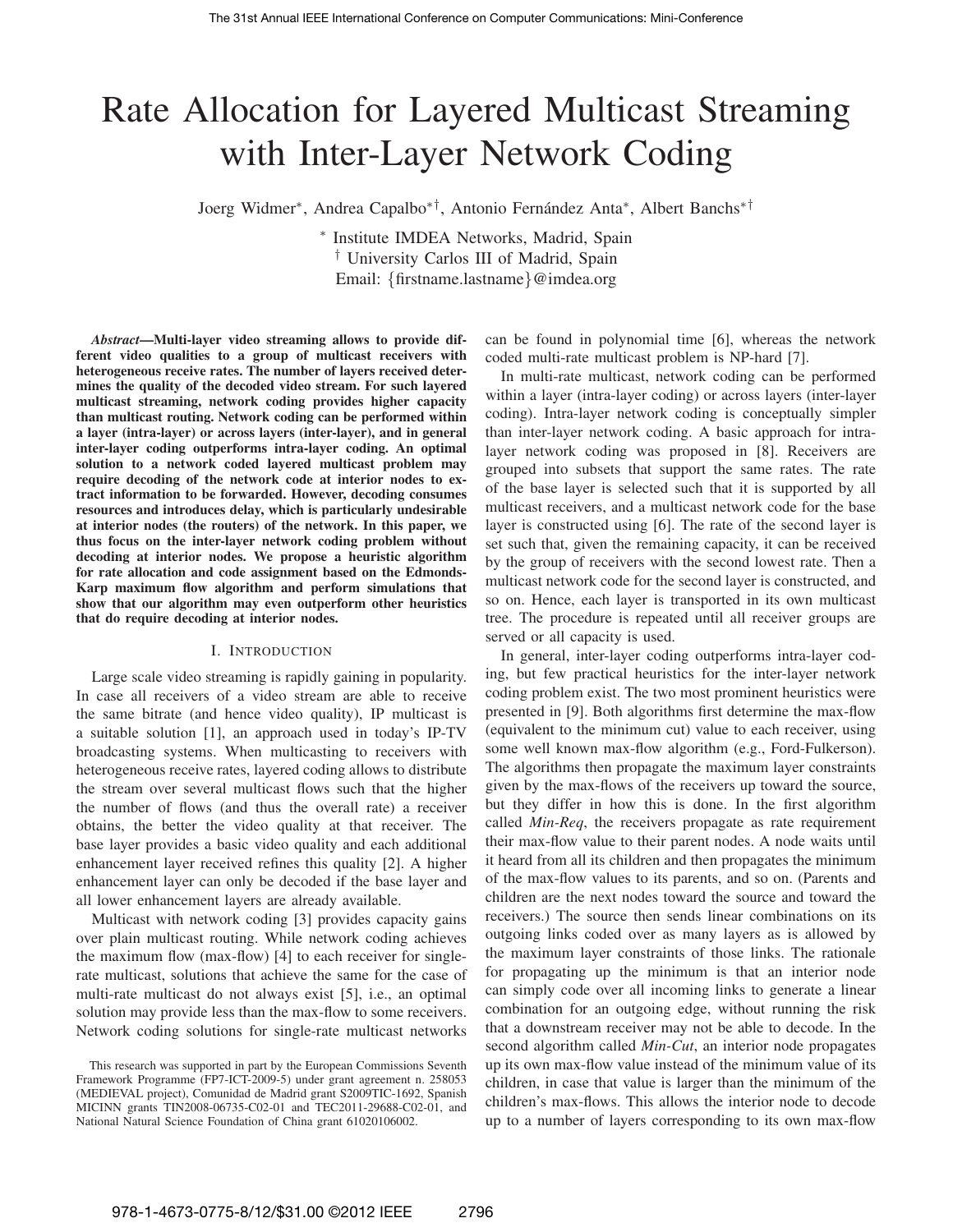# Rate Allocation for Layered Multicast Streaming with Inter-Layer Network Coding

Joerg Widmer\*, Andrea Capalbo\*<sup>†</sup>, Antonio Fernández Anta\*, Albert Banchs<sup>\*†</sup>

∗ Institute IMDEA Networks, Madrid, Spain † University Carlos III of Madrid, Spain Email: {firstname.lastname}@imdea.org

*Abstract*—Multi-layer video streaming allows to provide different video qualities to a group of multicast receivers with heterogeneous receive rates. The number of layers received determines the quality of the decoded video stream. For such layered multicast streaming, network coding provides higher capacity than multicast routing. Network coding can be performed within a layer (intra-layer) or across layers (inter-layer), and in general inter-layer coding outperforms intra-layer coding. An optimal solution to a network coded layered multicast problem may require decoding of the network code at interior nodes to extract information to be forwarded. However, decoding consumes resources and introduces delay, which is particularly undesirable at interior nodes (the routers) of the network. In this paper, we thus focus on the inter-layer network coding problem without decoding at interior nodes. We propose a heuristic algorithm for rate allocation and code assignment based on the Edmonds-Karp maximum flow algorithm and perform simulations that show that our algorithm may even outperform other heuristics that do require decoding at interior nodes.

## I. INTRODUCTION

Large scale video streaming is rapidly gaining in popularity. In case all receivers of a video stream are able to receive the same bitrate (and hence video quality), IP multicast is a suitable solution [1], an approach used in today's IP-TV broadcasting systems. When multicasting to receivers with heterogeneous receive rates, layered coding allows to distribute the stream over several multicast flows such that the higher the number of flows (and thus the overall rate) a receiver obtains, the better the video quality at that receiver. The base layer provides a basic video quality and each additional enhancement layer received refines this quality [2]. A higher enhancement layer can only be decoded if the base layer and all lower enhancement layers are already available.

Multicast with network coding [3] provides capacity gains over plain multicast routing. While network coding achieves the maximum flow (max-flow) [4] to each receiver for singlerate multicast, solutions that achieve the same for the case of multi-rate multicast do not always exist [5], i.e., an optimal solution may provide less than the max-flow to some receivers. Network coding solutions for single-rate multicast networks can be found in polynomial time [6], whereas the network coded multi-rate multicast problem is NP-hard [7].

In multi-rate multicast, network coding can be performed within a layer (intra-layer coding) or across layers (inter-layer coding). Intra-layer network coding is conceptually simpler than inter-layer network coding. A basic approach for intralayer network coding was proposed in [8]. Receivers are grouped into subsets that support the same rates. The rate of the base layer is selected such that it is supported by all multicast receivers, and a multicast network code for the base layer is constructed using [6]. The rate of the second layer is set such that, given the remaining capacity, it can be received by the group of receivers with the second lowest rate. Then a multicast network code for the second layer is constructed, and so on. Hence, each layer is transported in its own multicast tree. The procedure is repeated until all receiver groups are served or all capacity is used.

In general, inter-layer coding outperforms intra-layer coding, but few practical heuristics for the inter-layer network coding problem exist. The two most prominent heuristics were presented in [9]. Both algorithms first determine the max-flow (equivalent to the minimum cut) value to each receiver, using some well known max-flow algorithm (e.g., Ford-Fulkerson). The algorithms then propagate the maximum layer constraints given by the max-flows of the receivers up toward the source, but they differ in how this is done. In the first algorithm called *Min-Req*, the receivers propagate as rate requirement their max-flow value to their parent nodes. A node waits until it heard from all its children and then propagates the minimum of the max-flow values to its parents, and so on. (Parents and children are the next nodes toward the source and toward the receivers.) The source then sends linear combinations on its outgoing links coded over as many layers as is allowed by the maximum layer constraints of those links. The rationale for propagating up the minimum is that an interior node can simply code over all incoming links to generate a linear combination for an outgoing edge, without running the risk that a downstream receiver may not be able to decode. In the second algorithm called *Min-Cut*, an interior node propagates up its own max-flow value instead of the minimum value of its children, in case that value is larger than the minimum of the children's max-flows. This allows the interior node to decode up to a number of layers corresponding to its own max-flow

This research was supported in part by the European Commissions Seventh Framework Programme (FP7-ICT-2009-5) under grant agreement n. 258053 (MEDIEVAL project), Comunidad de Madrid grant S2009TIC-1692, Spanish MICINN grants TIN2008-06735-C02-01 and TEC2011-29688-C02-01, and National Natural Science Foundation of China grant 61020106002.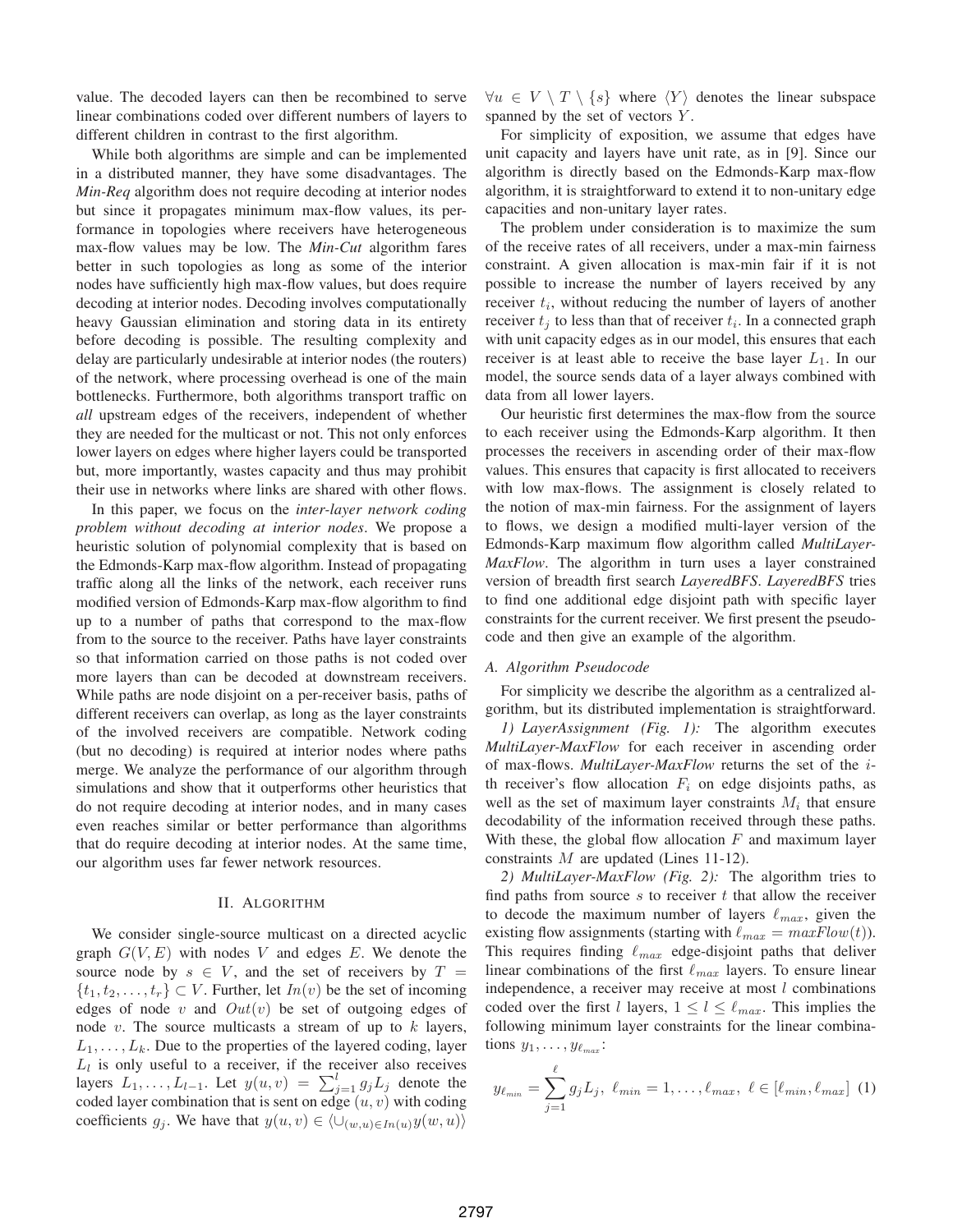value. The decoded layers can then be recombined to serve linear combinations coded over different numbers of layers to different children in contrast to the first algorithm.

While both algorithms are simple and can be implemented in a distributed manner, they have some disadvantages. The *Min-Req* algorithm does not require decoding at interior nodes but since it propagates minimum max-flow values, its performance in topologies where receivers have heterogeneous max-flow values may be low. The *Min-Cut* algorithm fares better in such topologies as long as some of the interior nodes have sufficiently high max-flow values, but does require decoding at interior nodes. Decoding involves computationally heavy Gaussian elimination and storing data in its entirety before decoding is possible. The resulting complexity and delay are particularly undesirable at interior nodes (the routers) of the network, where processing overhead is one of the main bottlenecks. Furthermore, both algorithms transport traffic on *all* upstream edges of the receivers, independent of whether they are needed for the multicast or not. This not only enforces lower layers on edges where higher layers could be transported but, more importantly, wastes capacity and thus may prohibit their use in networks where links are shared with other flows.

In this paper, we focus on the *inter-layer network coding problem without decoding at interior nodes*. We propose a heuristic solution of polynomial complexity that is based on the Edmonds-Karp max-flow algorithm. Instead of propagating traffic along all the links of the network, each receiver runs modified version of Edmonds-Karp max-flow algorithm to find up to a number of paths that correspond to the max-flow from to the source to the receiver. Paths have layer constraints so that information carried on those paths is not coded over more layers than can be decoded at downstream receivers. While paths are node disjoint on a per-receiver basis, paths of different receivers can overlap, as long as the layer constraints of the involved receivers are compatible. Network coding (but no decoding) is required at interior nodes where paths merge. We analyze the performance of our algorithm through simulations and show that it outperforms other heuristics that do not require decoding at interior nodes, and in many cases even reaches similar or better performance than algorithms that do require decoding at interior nodes. At the same time, our algorithm uses far fewer network resources.

## II. ALGORITHM

We consider single-source multicast on a directed acyclic graph  $G(V, E)$  with nodes V and edges E. We denote the source node by  $s \in V$ , and the set of receivers by  $T =$  $\{t_1, t_2, \ldots, t_r\} \subset V$ . Further, let  $In(v)$  be the set of incoming edges of node v and  $Out(v)$  be set of outgoing edges of node  $v$ . The source multicasts a stream of up to  $k$  layers,  $L_1, \ldots, L_k$ . Due to the properties of the layered coding, layer  $L_l$  is only useful to a receiver, if the receiver also receives layers  $L_1, \ldots, L_{l-1}$ . Let  $y(u, v) = \sum_{j=1}^{l} g_j L_j$  denote the coded layer combination that is sent on edge  $(u, v)$  with coding coefficients  $g_j$ . We have that  $y(u, v) \in \langle \bigcup_{(w, u) \in In(u)} y(w, u) \rangle$   $\forall u \in V \setminus T \setminus \{s\}$  where  $\langle Y \rangle$  denotes the linear subspace spanned by the set of vectors Y.

For simplicity of exposition, we assume that edges have unit capacity and layers have unit rate, as in [9]. Since our algorithm is directly based on the Edmonds-Karp max-flow algorithm, it is straightforward to extend it to non-unitary edge capacities and non-unitary layer rates.

The problem under consideration is to maximize the sum of the receive rates of all receivers, under a max-min fairness constraint. A given allocation is max-min fair if it is not possible to increase the number of layers received by any receiver  $t_i$ , without reducing the number of layers of another receiver  $t_j$  to less than that of receiver  $t_i$ . In a connected graph with unit capacity edges as in our model, this ensures that each receiver is at least able to receive the base layer  $L_1$ . In our model, the source sends data of a layer always combined with data from all lower layers.

Our heuristic first determines the max-flow from the source to each receiver using the Edmonds-Karp algorithm. It then processes the receivers in ascending order of their max-flow values. This ensures that capacity is first allocated to receivers with low max-flows. The assignment is closely related to the notion of max-min fairness. For the assignment of layers to flows, we design a modified multi-layer version of the Edmonds-Karp maximum flow algorithm called *MultiLayer-MaxFlow*. The algorithm in turn uses a layer constrained version of breadth first search *LayeredBFS*. *LayeredBFS* tries to find one additional edge disjoint path with specific layer constraints for the current receiver. We first present the pseudocode and then give an example of the algorithm.

## *A. Algorithm Pseudocode*

For simplicity we describe the algorithm as a centralized algorithm, but its distributed implementation is straightforward.

*1) LayerAssignment (Fig. 1):* The algorithm executes *MultiLayer-MaxFlow* for each receiver in ascending order of max-flows. *MultiLayer-MaxFlow* returns the set of the ith receiver's flow allocation  $F_i$  on edge disjoints paths, as well as the set of maximum layer constraints  $M_i$  that ensure decodability of the information received through these paths. With these, the global flow allocation  $F$  and maximum layer constraints M are updated (Lines 11-12).

*2) MultiLayer-MaxFlow (Fig. 2):* The algorithm tries to find paths from source  $s$  to receiver  $t$  that allow the receiver to decode the maximum number of layers  $\ell_{max}$ , given the existing flow assignments (starting with  $\ell_{max} = maxFlow(t)$ ). This requires finding  $\ell_{max}$  edge-disjoint paths that deliver linear combinations of the first  $\ell_{max}$  layers. To ensure linear independence, a receiver may receive at most  $l$  combinations coded over the first l layers,  $1 \le l \le \ell_{max}$ . This implies the following minimum layer constraints for the linear combinations  $y_1, \ldots, y_{\ell_{max}}$ :

$$
y_{\ell_{min}} = \sum_{j=1}^{\ell} g_j L_j, \ \ell_{min} = 1, \ldots, \ell_{max}, \ \ell \in [\ell_{min}, \ell_{max}] \ \ (1)
$$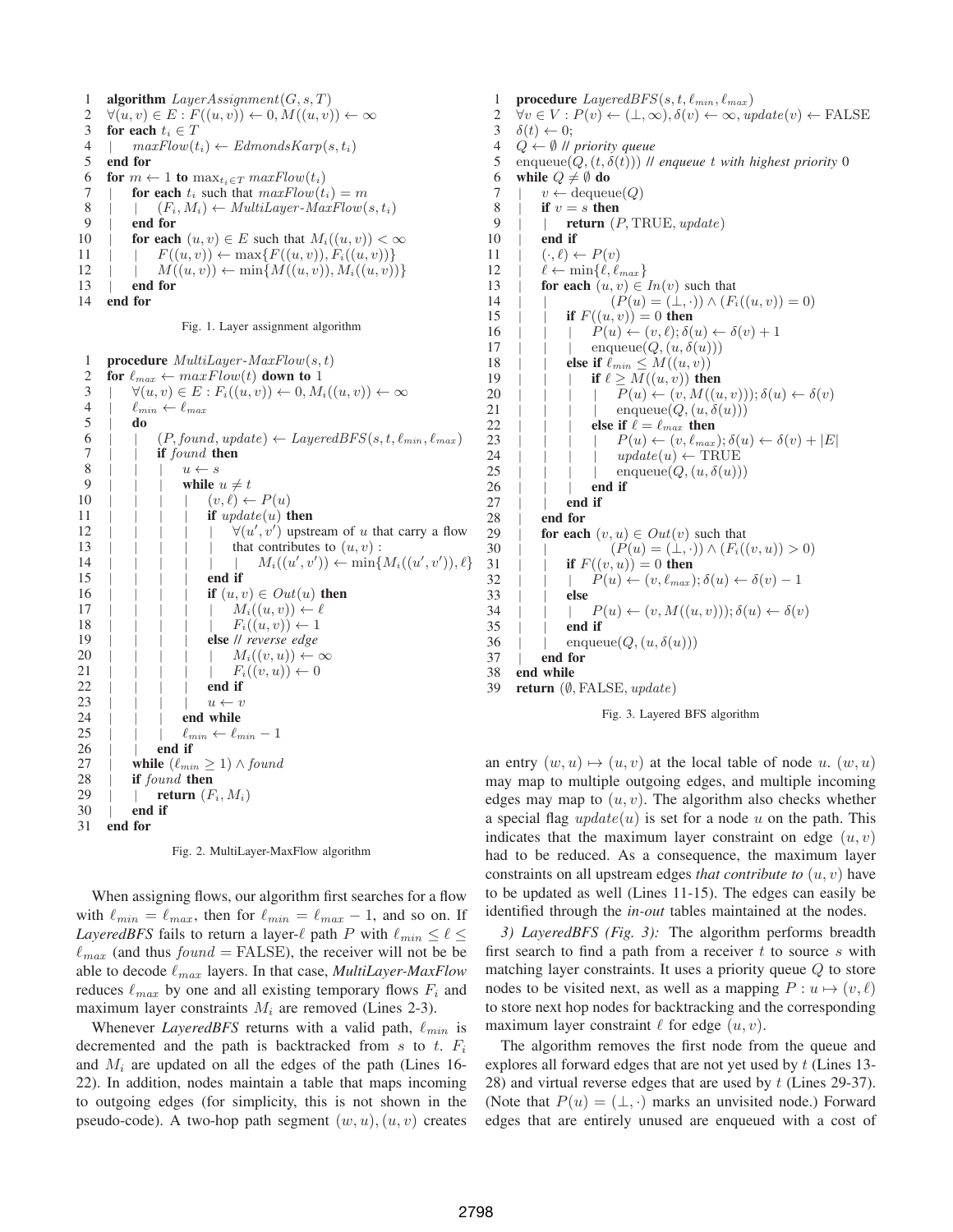1 **algorithm**  $LayerAssignment(G, s, T)$ 2  $\forall (u, v) \in E : F((u, v)) \leftarrow 0, M((u, v)) \leftarrow \infty$ 3 for each  $t_i \in T$ 4 |  $maxFlow(t_i) \leftarrow EdmondsKarp(s, t_i)$ <br>5 **end for** 5 end for 6 for  $m \leftarrow 1$  to  $\max_{t_i \in T} maxFlow(t_i)$ 7 | for each  $t_i$  such that  $maxFlow(t_i) = m$ 8 |  $(F_i, M_i) \leftarrow \text{MultiLayer-MaxFlow}(s, t_i)$ <br>9 | end for  $9 \mid$  end for<br>10 | for each for each  $(u, v) \in E$  such that  $M_i((u, v)) < \infty$ 11 |  $F((u, v)) \leftarrow \max\{F((u, v)), F_i((u, v))\}$  $12 \quad | \quad | \quad M((u, v)) \leftarrow \min\{M((u, v)), M_i((u, v))\}$ 13 | end for

14 end for

#### Fig. 1. Layer assignment algorithm

```
1 procedure MultiLayer-MaxFlow(s, t)<br>2 for \ell_{max} \leftarrow maxFlow(t) down to 1
      for \ell_{max} \leftarrow maxFlow(t) down to 1
 \exists \quad | \quad \forall (u, v) \in E : F_i((u, v)) \leftarrow 0, M_i((u, v)) \leftarrow \infty4 | \ell_{min} \leftarrow \ell_{max}5 | do
 6 | | (P, found, update) \leftarrow LayeredBFS(s, t, \ell_{min}, \ell_{max})\begin{array}{ccc} 7 & | & | & \text{if } found \text{ then} \\ 8 & | & | & | & u \leftarrow s \end{array}\begin{array}{c|c|c|c|c|c} 8 & | & | & | & u \leftarrow s \\ 9 & | & | & | & \text{while} \end{array}while u \neq t10 | | | (v, \ell) \leftarrow P(u)11 | | | if update(u) then
12 | | | | \forall (u', v') upstream of u that carry a flow
13 | | | | | that contributes to (u, v):
14 | | | | M_i((u',v')) \leftarrow \min\{M_i((u',v')), \ell\}15 | | | | end if
16 | | | | if (u, v) \in Out(u) then
17 | | | | M_i((u, v)) \leftarrow \ell<br>
18 | | | | | F_i((u, v)) \leftarrow 118 | | | | F_i((u, v)) \leftarrow 1<br>
19 | | | else || reverse edge
                            else // reverse edge
20 | | | | M_i((v, u)) \leftarrow \infty21 | | | | F_i((v, u)) \leftarrow 0<br>22 | | | | end if
                            end if
23 | | | | u \leftarrow v24 | | | end while
25 | | | \ell_{min} \leftarrow \ell_{min} - 126 | | end if
27 | while (\ell_{min} \geq 1) \wedge found28 | if found then<br>29 | | return (F)return (F_i, M_i)30 | end if
31 end for
```
Fig. 2. MultiLayer-MaxFlow algorithm

When assigning flows, our algorithm first searches for a flow with  $\ell_{min} = \ell_{max}$ , then for  $\ell_{min} = \ell_{max} - 1$ , and so on. If *LayeredBFS* fails to return a layer- $\ell$  path P with  $\ell_{min} \leq \ell \leq$  $\ell_{max}$  (and thus  $found = FALSE$ ), the receiver will not be be able to decode  $\ell_{max}$  layers. In that case, *MultiLayer-MaxFlow* reduces  $\ell_{max}$  by one and all existing temporary flows  $F_i$  and maximum layer constraints  $M_i$  are removed (Lines 2-3).

Whenever *LayeredBFS* returns with a valid path,  $\ell_{min}$  is decremented and the path is backtracked from s to t.  $F_i$ and  $M_i$  are updated on all the edges of the path (Lines 16-22). In addition, nodes maintain a table that maps incoming to outgoing edges (for simplicity, this is not shown in the pseudo-code). A two-hop path segment  $(w, u), (u, v)$  creates

1 **procedure**  $LayeredBFS(s, t, \ell_{min}, \ell_{max})$ 2  $\forall v \in V : P(v) \leftarrow (\perp, \infty), \delta(v) \leftarrow \infty, update(v) \leftarrow \text{FALSE}$  $3 \quad \delta(t) \leftarrow 0;$ 4  $Q \leftarrow \emptyset$  // *priority queue*<br>5 enqueue(*Q*, (*t*,  $\delta(t)$ )) // enqueue $(Q, (t, \delta(t)))$  // *enqueue* t *with highest priority* 0 6 while  $Q \neq \emptyset$  do 7 |  $v \leftarrow \text{dequeue}(Q)$  $\begin{array}{ccc} 8 & | & \text{if } v = s \text{ then} \\ 9 & | & \text{return } (1) \end{array}$ 9 | | **return**  $(P, \text{TRUE}, \text{update})$ <br>10 | **end if** end if 11  $\vdots$   $(\cdot, \ell) \leftarrow P(v)$  $12 \quad | \quad \ell \leftarrow \min\{\ell, \ell_{max}\}\$ 13 | for each  $(u, v) \in In(v)$  such that 14 | |  $(P(u) = (\perp, \cdot)) \wedge (F_i((u, v)) = 0)$ 15 | | if  $F((u, v)) = 0$  then 16 | | |  $P(u) \leftarrow (v, \ell); \delta(u) \leftarrow \delta(v) + 1$ 17 | | enqueue $(Q, (u, \delta(u)))$ 18 | **else if**  $\ell_{min} \leq M((u, v))$ <br>19 | **if**  $\ell > M((u, v))$  the 19 | | if  $\ell \geq M((u, v))$  then<br>20 | | | |  $P(u) \leftarrow (v, M((u, v)))$  $P(u) \leftarrow (v, M((u, v))), \delta(u) \leftarrow \delta(v)$ 21 | | | enqueue $(Q, (u, \delta(u)))$ 22 | | | else if  $\ell = \ell_{max}$  then 23 | | | |  $P(u) \leftarrow (v, \ell_{max}); \delta(u) \leftarrow \delta(v) + |E|$ 24 | | | |  $update(u) \leftarrow \text{TRUE}$ 25 | | | enqueue $(Q, (u, \delta(u)))$ <br>26 | | | **end if**  $\begin{array}{ccc} 26 & | & | & | \ 27 & | & | & \text{end if} \end{array}$ end if 28 | end for 29 | **for each**  $(v, u) \in Out(v)$  such that<br>30 | |  $(P(u) = (\perp, \cdot)) \wedge (F_i)$ 30 | |  $(P(u) = (\perp, \cdot)) \wedge (F_i((v, u)) > 0)$ <br>31 | | **if**  $F((v, u)) = 0$  **then** 31 | if  $F((v, u)) = 0$  then<br>32 | | |  $P(u) \leftarrow (v, \ell_{max})$ 32 | |  $P(u) \leftarrow (v, \ell_{max}); \delta(u) \leftarrow \delta(v) - 1$ <br>33 | else else 34 | | |  $P(u) \leftarrow (v, M((u, v))), \delta(u) \leftarrow \delta(v)$ 35 | | **end if**<br>36 | | **en**que 36 | | enqueue $(Q, (u, \delta(u)))$ <br>37 | **end for** end for 38 end while 39 return  $(\emptyset, \text{FALSE}, update)$ Fig. 3. Layered BFS algorithm

an entry  $(w, u) \mapsto (u, v)$  at the local table of node u.  $(w, u)$ may map to multiple outgoing edges, and multiple incoming edges may map to  $(u, v)$ . The algorithm also checks whether a special flag  $update(u)$  is set for a node u on the path. This indicates that the maximum layer constraint on edge  $(u, v)$ had to be reduced. As a consequence, the maximum layer constraints on all upstream edges *that contribute to* (u, v) have to be updated as well (Lines 11-15). The edges can easily be identified through the *in-out* tables maintained at the nodes.

*3) LayeredBFS (Fig. 3):* The algorithm performs breadth first search to find a path from a receiver  $t$  to source  $s$  with matching layer constraints. It uses a priority queue  $Q$  to store nodes to be visited next, as well as a mapping  $P : u \mapsto (v, \ell)$ to store next hop nodes for backtracking and the corresponding maximum layer constraint  $\ell$  for edge  $(u, v)$ .

The algorithm removes the first node from the queue and explores all forward edges that are not yet used by t (Lines 13-28) and virtual reverse edges that are used by  $t$  (Lines 29-37). (Note that  $P(u) = (\perp, \cdot)$  marks an unvisited node.) Forward edges that are entirely unused are enqueued with a cost of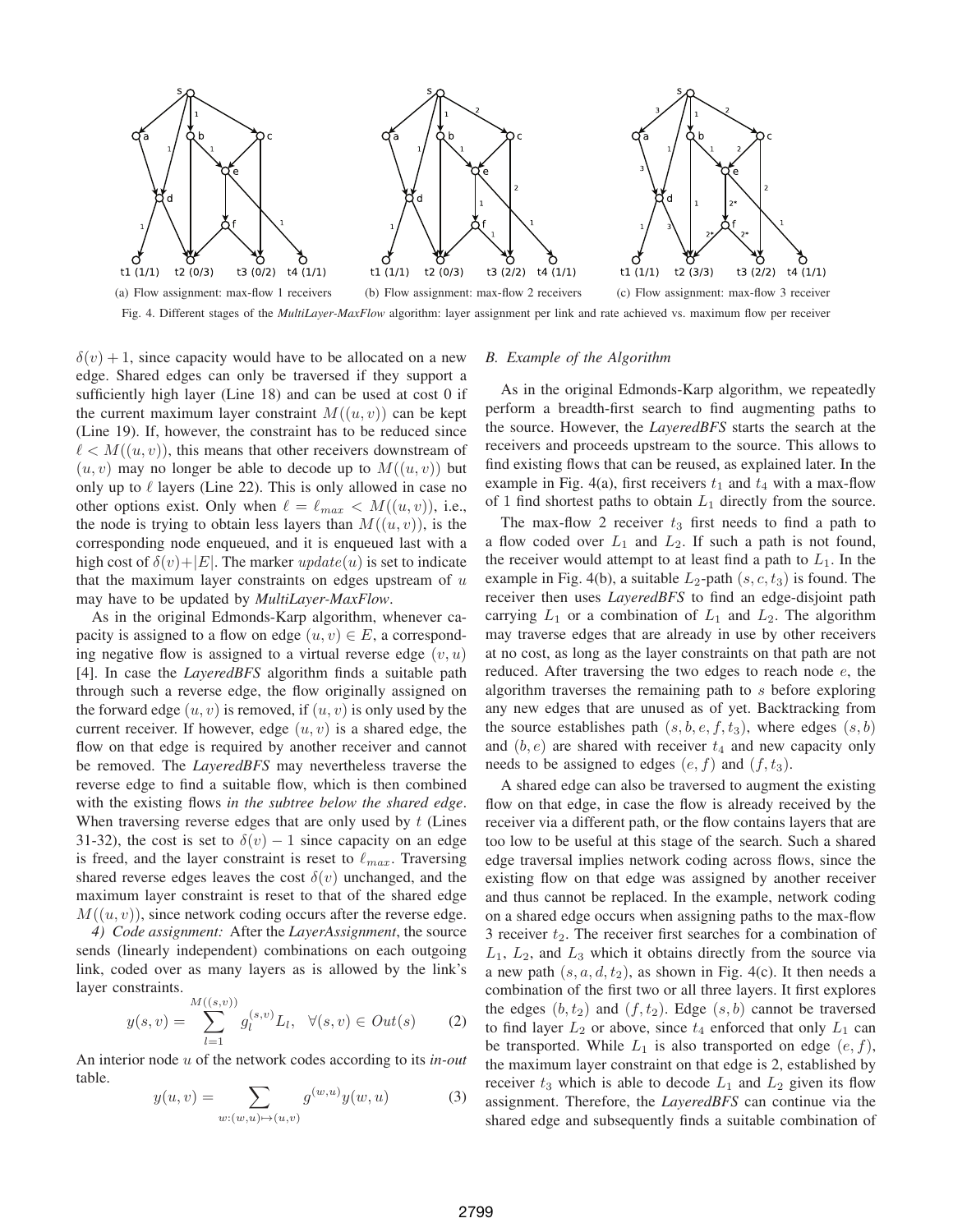

 $\delta(v) + 1$ , since capacity would have to be allocated on a new edge. Shared edges can only be traversed if they support a sufficiently high layer (Line 18) and can be used at cost 0 if the current maximum layer constraint  $M((u, v))$  can be kept (Line 19). If, however, the constraint has to be reduced since  $\ell \lt M((u, v))$ , this means that other receivers downstream of  $(u, v)$  may no longer be able to decode up to  $M((u, v))$  but only up to  $\ell$  layers (Line 22). This is only allowed in case no other options exist. Only when  $\ell = \ell_{max} < M((u, v))$ , i.e., the node is trying to obtain less layers than  $M((u, v))$ , is the corresponding node enqueued, and it is enqueued last with a high cost of  $\delta(v)+|E|$ . The marker  $update(u)$  is set to indicate that the maximum layer constraints on edges upstream of  $u$ 

As in the original Edmonds-Karp algorithm, whenever capacity is assigned to a flow on edge  $(u, v) \in E$ , a corresponding negative flow is assigned to a virtual reverse edge  $(v, u)$ [4]. In case the *LayeredBFS* algorithm finds a suitable path through such a reverse edge, the flow originally assigned on the forward edge  $(u, v)$  is removed, if  $(u, v)$  is only used by the current receiver. If however, edge  $(u, v)$  is a shared edge, the flow on that edge is required by another receiver and cannot be removed. The *LayeredBFS* may nevertheless traverse the reverse edge to find a suitable flow, which is then combined with the existing flows *in the subtree below the shared edge*. When traversing reverse edges that are only used by  $t$  (Lines 31-32), the cost is set to  $\delta(v) - 1$  since capacity on an edge is freed, and the layer constraint is reset to  $\ell_{max}$ . Traversing shared reverse edges leaves the cost  $\delta(v)$  unchanged, and the maximum layer constraint is reset to that of the shared edge  $M((u, v))$ , since network coding occurs after the reverse edge.

may have to be updated by *MultiLayer-MaxFlow*.

*4) Code assignment:* After the *LayerAssignment*, the source sends (linearly independent) combinations on each outgoing link, coded over as many layers as is allowed by the link's layer constraints.

$$
y(s,v) = \sum_{l=1}^{M((s,v))} g_l^{(s,v)} L_l, \ \ \forall (s,v) \in Out(s) \tag{2}
$$

An interior node u of the network codes according to its *in-out* table.

$$
y(u,v) = \sum_{w:(w,u)\mapsto(u,v)} g^{(w,u)}y(w,u)
$$
 (3)

## *B. Example of the Algorithm*

As in the original Edmonds-Karp algorithm, we repeatedly perform a breadth-first search to find augmenting paths to the source. However, the *LayeredBFS* starts the search at the receivers and proceeds upstream to the source. This allows to find existing flows that can be reused, as explained later. In the example in Fig. 4(a), first receivers  $t_1$  and  $t_4$  with a max-flow of 1 find shortest paths to obtain  $L_1$  directly from the source.

The max-flow 2 receiver  $t_3$  first needs to find a path to a flow coded over  $L_1$  and  $L_2$ . If such a path is not found, the receiver would attempt to at least find a path to  $L_1$ . In the example in Fig. 4(b), a suitable  $L_2$ -path  $(s, c, t_3)$  is found. The receiver then uses *LayeredBFS* to find an edge-disjoint path carrying  $L_1$  or a combination of  $L_1$  and  $L_2$ . The algorithm may traverse edges that are already in use by other receivers at no cost, as long as the layer constraints on that path are not reduced. After traversing the two edges to reach node e, the algorithm traverses the remaining path to s before exploring any new edges that are unused as of yet. Backtracking from the source establishes path  $(s, b, e, f, t_3)$ , where edges  $(s, b)$ and  $(b, e)$  are shared with receiver  $t_4$  and new capacity only needs to be assigned to edges  $(e, f)$  and  $(f, t_3)$ .

A shared edge can also be traversed to augment the existing flow on that edge, in case the flow is already received by the receiver via a different path, or the flow contains layers that are too low to be useful at this stage of the search. Such a shared edge traversal implies network coding across flows, since the existing flow on that edge was assigned by another receiver and thus cannot be replaced. In the example, network coding on a shared edge occurs when assigning paths to the max-flow 3 receiver  $t_2$ . The receiver first searches for a combination of  $L_1$ ,  $L_2$ , and  $L_3$  which it obtains directly from the source via a new path  $(s, a, d, t_2)$ , as shown in Fig. 4(c). It then needs a combination of the first two or all three layers. It first explores the edges  $(b, t_2)$  and  $(f, t_2)$ . Edge  $(s, b)$  cannot be traversed to find layer  $L_2$  or above, since  $t_4$  enforced that only  $L_1$  can be transported. While  $L_1$  is also transported on edge  $(e, f)$ , the maximum layer constraint on that edge is 2, established by receiver  $t_3$  which is able to decode  $L_1$  and  $L_2$  given its flow assignment. Therefore, the *LayeredBFS* can continue via the shared edge and subsequently finds a suitable combination of